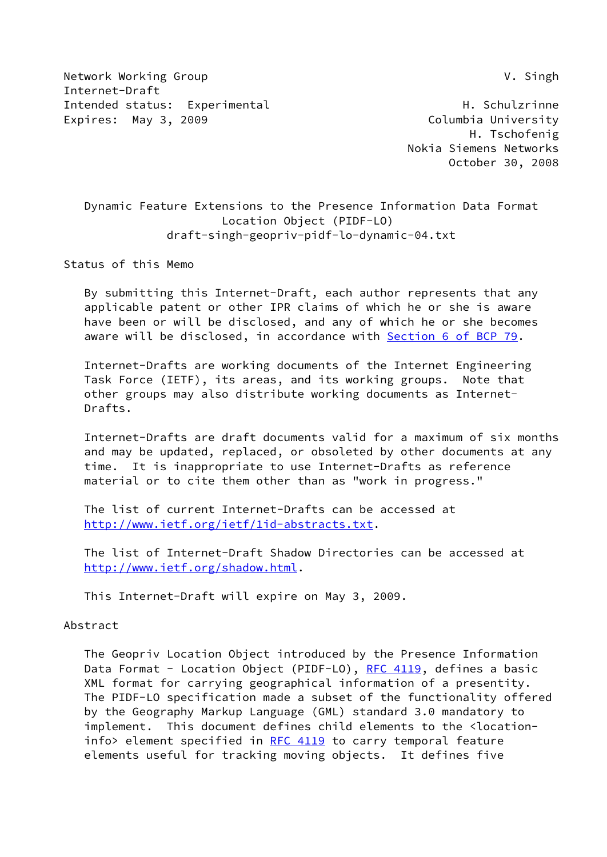Network Working Group **V. Singh** Internet-Draft Intended status: Experimental **H. Schulzrinne** Expires: May 3, 2009 **Expires:** May 3, 2009

 H. Tschofenig Nokia Siemens Networks October 30, 2008

 Dynamic Feature Extensions to the Presence Information Data Format Location Object (PIDF-LO) draft-singh-geopriv-pidf-lo-dynamic-04.txt

Status of this Memo

 By submitting this Internet-Draft, each author represents that any applicable patent or other IPR claims of which he or she is aware have been or will be disclosed, and any of which he or she becomes aware will be disclosed, in accordance with Section [6 of BCP 79.](https://datatracker.ietf.org/doc/pdf/bcp79#section-6)

 Internet-Drafts are working documents of the Internet Engineering Task Force (IETF), its areas, and its working groups. Note that other groups may also distribute working documents as Internet- Drafts.

 Internet-Drafts are draft documents valid for a maximum of six months and may be updated, replaced, or obsoleted by other documents at any time. It is inappropriate to use Internet-Drafts as reference material or to cite them other than as "work in progress."

 The list of current Internet-Drafts can be accessed at <http://www.ietf.org/ietf/1id-abstracts.txt>.

 The list of Internet-Draft Shadow Directories can be accessed at <http://www.ietf.org/shadow.html>.

This Internet-Draft will expire on May 3, 2009.

Abstract

 The Geopriv Location Object introduced by the Presence Information Data Format - Location Object (PIDF-LO), [RFC 4119](https://datatracker.ietf.org/doc/pdf/rfc4119), defines a basic XML format for carrying geographical information of a presentity. The PIDF-LO specification made a subset of the functionality offered by the Geography Markup Language (GML) standard 3.0 mandatory to implement. This document defines child elements to the <location- info> element specified in [RFC 4119](https://datatracker.ietf.org/doc/pdf/rfc4119) to carry temporal feature elements useful for tracking moving objects. It defines five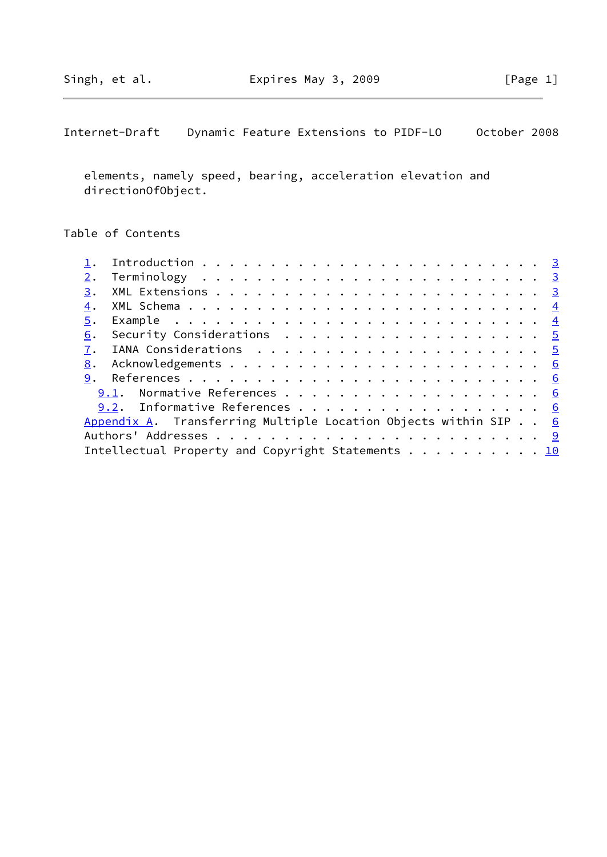Internet-Draft Dynamic Feature Extensions to PIDF-LO October 2008

 elements, namely speed, bearing, acceleration elevation and directionOfObject.

# Table of Contents

| 2. |                                                                           |  |
|----|---------------------------------------------------------------------------|--|
|    |                                                                           |  |
|    |                                                                           |  |
|    |                                                                           |  |
|    | 6. Security Considerations 5                                              |  |
|    |                                                                           |  |
|    |                                                                           |  |
|    |                                                                           |  |
|    |                                                                           |  |
|    | 9.2. Informative References 6                                             |  |
|    | Appendix A. Transferring Multiple Location Objects within SIP $\cdot$ . 6 |  |
|    |                                                                           |  |
|    | Intellectual Property and Copyright Statements 10                         |  |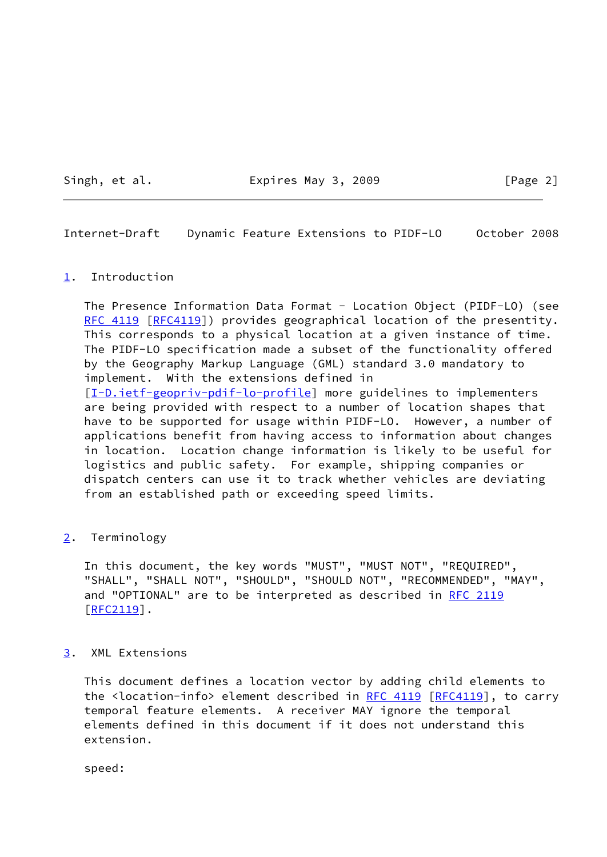Singh, et al. **Expires May 3, 2009** [Page 2]

<span id="page-2-1"></span>Internet-Draft Dynamic Feature Extensions to PIDF-LO October 2008

#### <span id="page-2-0"></span>[1](#page-2-0). Introduction

 The Presence Information Data Format - Location Object (PIDF-LO) (see [RFC 4119](https://datatracker.ietf.org/doc/pdf/rfc4119) [\[RFC4119](https://datatracker.ietf.org/doc/pdf/rfc4119)]) provides geographical location of the presentity. This corresponds to a physical location at a given instance of time. The PIDF-LO specification made a subset of the functionality offered by the Geography Markup Language (GML) standard 3.0 mandatory to implement. With the extensions defined in [\[I-D.ietf-geopriv-pdif-lo-profile](#page-6-2)] more guidelines to implementers are being provided with respect to a number of location shapes that have to be supported for usage within PIDF-LO. However, a number of applications benefit from having access to information about changes in location. Location change information is likely to be useful for logistics and public safety. For example, shipping companies or dispatch centers can use it to track whether vehicles are deviating from an established path or exceeding speed limits.

<span id="page-2-2"></span>[2](#page-2-2). Terminology

 In this document, the key words "MUST", "MUST NOT", "REQUIRED", "SHALL", "SHALL NOT", "SHOULD", "SHOULD NOT", "RECOMMENDED", "MAY", and "OPTIONAL" are to be interpreted as described in [RFC 2119](https://datatracker.ietf.org/doc/pdf/rfc2119) [\[RFC2119](https://datatracker.ietf.org/doc/pdf/rfc2119)].

### <span id="page-2-3"></span>[3](#page-2-3). XML Extensions

 This document defines a location vector by adding child elements to the <location-info> element described in [RFC 4119](https://datatracker.ietf.org/doc/pdf/rfc4119) [[RFC4119](https://datatracker.ietf.org/doc/pdf/rfc4119)], to carry temporal feature elements. A receiver MAY ignore the temporal elements defined in this document if it does not understand this extension.

speed: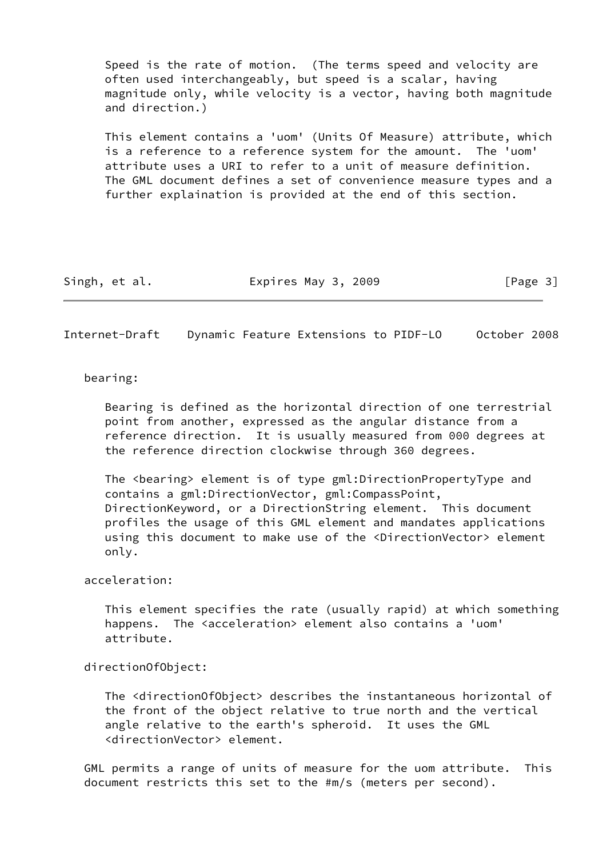Speed is the rate of motion. (The terms speed and velocity are often used interchangeably, but speed is a scalar, having magnitude only, while velocity is a vector, having both magnitude and direction.)

 This element contains a 'uom' (Units Of Measure) attribute, which is a reference to a reference system for the amount. The 'uom' attribute uses a URI to refer to a unit of measure definition. The GML document defines a set of convenience measure types and a further explaination is provided at the end of this section.

Singh, et al. Expires May 3, 2009 [Page 3]

<span id="page-3-0"></span>Internet-Draft Dynamic Feature Extensions to PIDF-LO October 2008

bearing:

 Bearing is defined as the horizontal direction of one terrestrial point from another, expressed as the angular distance from a reference direction. It is usually measured from 000 degrees at the reference direction clockwise through 360 degrees.

The <bearing> element is of type gml:DirectionPropertyType and contains a gml:DirectionVector, gml:CompassPoint, DirectionKeyword, or a DirectionString element. This document profiles the usage of this GML element and mandates applications using this document to make use of the <DirectionVector> element only.

acceleration:

 This element specifies the rate (usually rapid) at which something happens. The <acceleration> element also contains a 'uom' attribute.

directionOfObject:

 The <directionOfObject> describes the instantaneous horizontal of the front of the object relative to true north and the vertical angle relative to the earth's spheroid. It uses the GML <directionVector> element.

 GML permits a range of units of measure for the uom attribute. This document restricts this set to the #m/s (meters per second).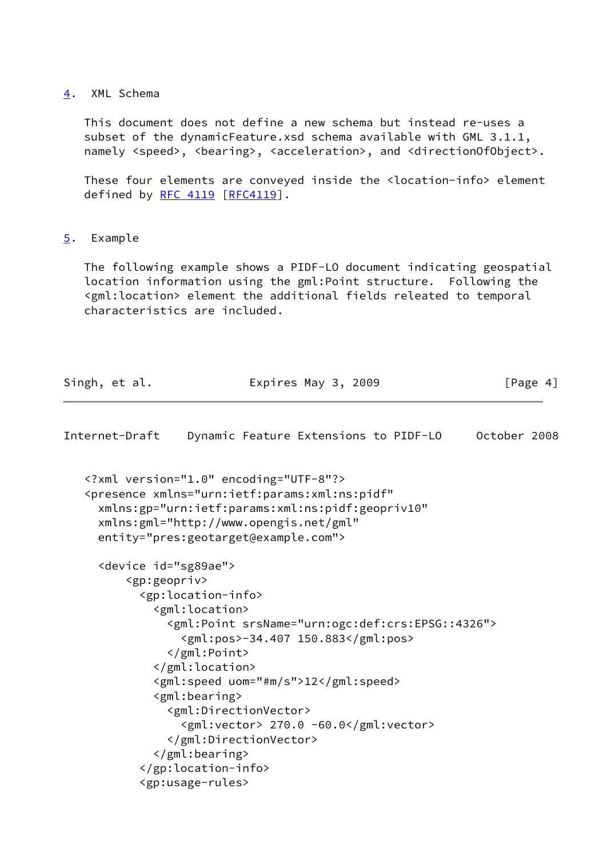#### <span id="page-4-0"></span>[4](#page-4-0). XML Schema

 This document does not define a new schema but instead re-uses a subset of the dynamicFeature.xsd schema available with GML 3.1.1, namely <speed>, <br/>bearing>, <acceleration>, and <directionOfObject>.

 These four elements are conveyed inside the <location-info> element defined by [RFC 4119 \[RFC4119](https://datatracker.ietf.org/doc/pdf/rfc4119)].

## <span id="page-4-1"></span>[5](#page-4-1). Example

 The following example shows a PIDF-LO document indicating geospatial location information using the gml:Point structure. Following the <gml:location> element the additional fields releated to temporal characteristics are included.

| Singh, et al.<br>Expires May 3, 2009 | [Page 4] |
|--------------------------------------|----------|
|--------------------------------------|----------|

<span id="page-4-2"></span>Internet-Draft Dynamic Feature Extensions to PIDF-LO October 2008

```
 <?xml version="1.0" encoding="UTF-8"?>
 <presence xmlns="urn:ietf:params:xml:ns:pidf"
  xmlns:gp="urn:ietf:params:xml:ns:pidf:geopriv10"
  xmlns:gml="http://www.opengis.net/gml"
  entity="pres:geotarget@example.com">
```

```
 <device id="sg89ae">
     <gp:geopriv>
       <gp:location-info>
         <gml:location>
           <gml:Point srsName="urn:ogc:def:crs:EPSG::4326">
              <gml:pos>-34.407 150.883</gml:pos>
            </gml:Point>
         </gml:location>
         <gml:speed uom="#m/s">12</gml:speed>
         <gml:bearing>
           <gml:DirectionVector>
              <gml:vector> 270.0 -60.0</gml:vector>
           </gml:DirectionVector>
         </gml:bearing>
       </gp:location-info>
       <gp:usage-rules>
```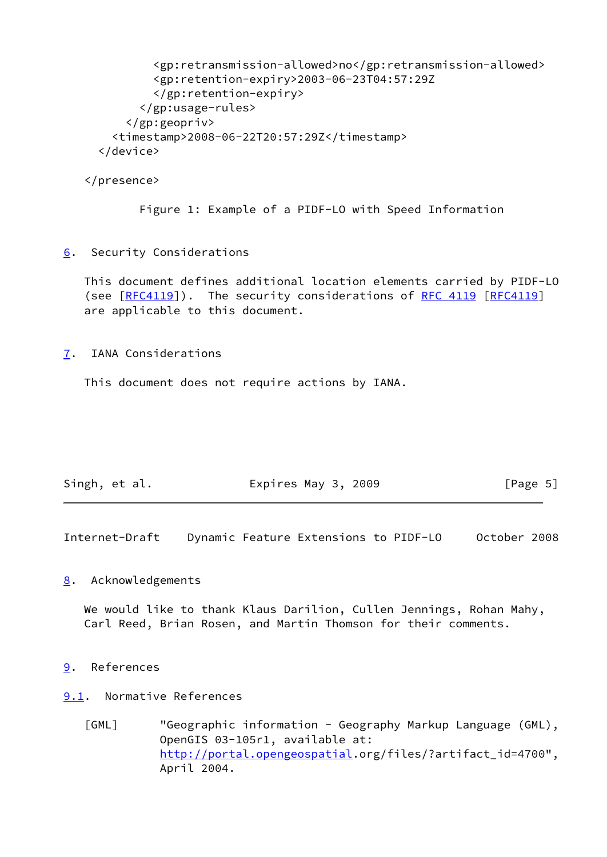```
 <gp:retransmission-allowed>no</gp:retransmission-allowed>
         <gp:retention-expiry>2003-06-23T04:57:29Z
         </gp:retention-expiry>
       </gp:usage-rules>
     </gp:geopriv>
   <timestamp>2008-06-22T20:57:29Z</timestamp>
 </device>
```

```
 </presence>
```
Figure 1: Example of a PIDF-LO with Speed Information

<span id="page-5-0"></span>[6](#page-5-0). Security Considerations

 This document defines additional location elements carried by PIDF-LO (see  $[REC4119]$ ). The security considerations of RFC 4119 [\[RFC4119](https://datatracker.ietf.org/doc/pdf/rfc4119)] are applicable to this document.

<span id="page-5-1"></span>[7](#page-5-1). IANA Considerations

This document does not require actions by IANA.

| Singh, et al.<br>Expires May 3, 2009 | [Page 5] |
|--------------------------------------|----------|
|--------------------------------------|----------|

<span id="page-5-3"></span>Internet-Draft Dynamic Feature Extensions to PIDF-LO October 2008

## <span id="page-5-2"></span>[8](#page-5-2). Acknowledgements

 We would like to thank Klaus Darilion, Cullen Jennings, Rohan Mahy, Carl Reed, Brian Rosen, and Martin Thomson for their comments.

## <span id="page-5-4"></span>[9](#page-5-4). References

## <span id="page-5-5"></span>[9.1](#page-5-5). Normative References

[GML] "Geographic information - Geography Markup Language (GML), OpenGIS 03-105r1, available at: [http://portal.opengeospatial.](http://portal.opengeospatial)org/files/?artifact\_id=4700", April 2004.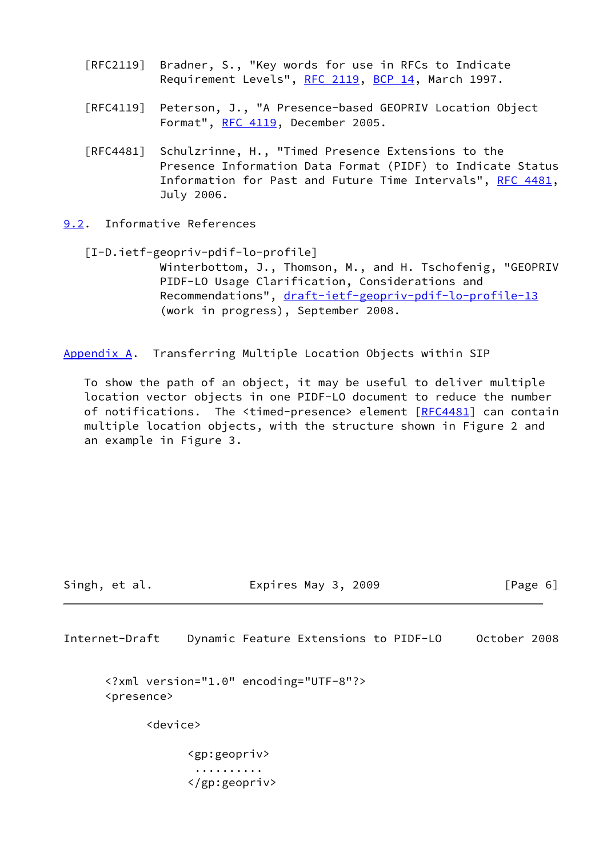- [RFC2119] Bradner, S., "Key words for use in RFCs to Indicate Requirement Levels", [RFC 2119](https://datatracker.ietf.org/doc/pdf/rfc2119), [BCP 14](https://datatracker.ietf.org/doc/pdf/bcp14), March 1997.
- [RFC4119] Peterson, J., "A Presence-based GEOPRIV Location Object Format", [RFC 4119,](https://datatracker.ietf.org/doc/pdf/rfc4119) December 2005.
- [RFC4481] Schulzrinne, H., "Timed Presence Extensions to the Presence Information Data Format (PIDF) to Indicate Status Information for Past and Future Time Intervals", [RFC 4481,](https://datatracker.ietf.org/doc/pdf/rfc4481) July 2006.
- <span id="page-6-2"></span><span id="page-6-0"></span>[9.2](#page-6-0). Informative References
	- [I-D.ietf-geopriv-pdif-lo-profile] Winterbottom, J., Thomson, M., and H. Tschofenig, "GEOPRIV PIDF-LO Usage Clarification, Considerations and Recommendations", [draft-ietf-geopriv-pdif-lo-profile-13](https://datatracker.ietf.org/doc/pdf/draft-ietf-geopriv-pdif-lo-profile-13) (work in progress), September 2008.

<span id="page-6-1"></span>[Appendix A.](#page-6-1) Transferring Multiple Location Objects within SIP

 To show the path of an object, it may be useful to deliver multiple location vector objects in one PIDF-LO document to reduce the number of notifications. The <timed-presence> element [\[RFC4481](https://datatracker.ietf.org/doc/pdf/rfc4481)] can contain multiple location objects, with the structure shown in Figure 2 and an example in Figure 3.

Singh, et al. Expires May 3, 2009 [Page 6]

Internet-Draft Dynamic Feature Extensions to PIDF-LO October 2008

 <?xml version="1.0" encoding="UTF-8"?> <presence>

<device>

```
 <gp:geopriv>
 ..........
 </gp:geopriv>
```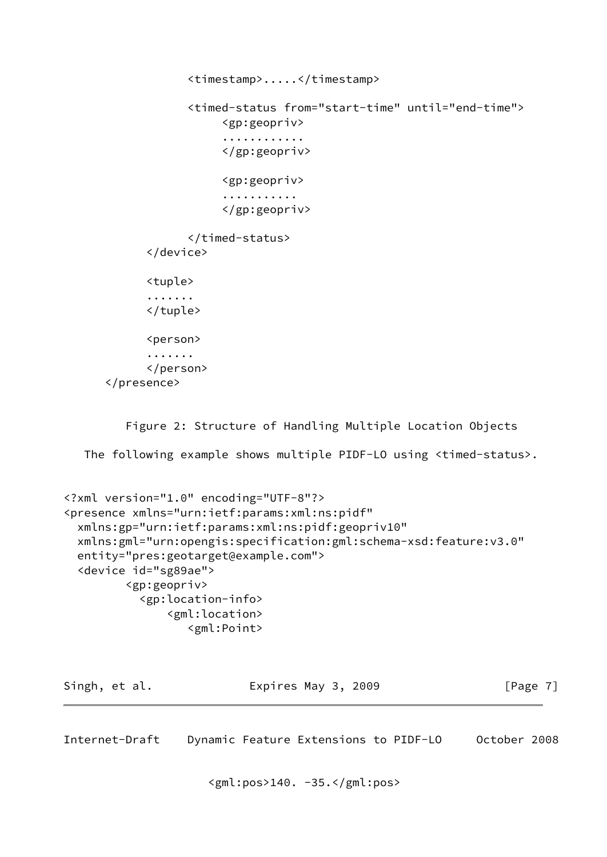```
 <timestamp>.....</timestamp>
              <timed-status from="start-time" until="end-time">
                    <gp:geopriv>
                    ............
                    </gp:geopriv>
                    <gp:geopriv>
                    ...........
                    </gp:geopriv>
              </timed-status>
       </device>
       <tuple>
       .......
       </tuple>
       <person>
       .......
       </person>
 </presence>
```
Figure 2: Structure of Handling Multiple Location Objects

The following example shows multiple PIDF-LO using <timed-status>.

```
<?xml version="1.0" encoding="UTF-8"?>
<presence xmlns="urn:ietf:params:xml:ns:pidf"
  xmlns:gp="urn:ietf:params:xml:ns:pidf:geopriv10"
  xmlns:gml="urn:opengis:specification:gml:schema-xsd:feature:v3.0"
  entity="pres:geotarget@example.com">
   <device id="sg89ae">
          <gp:geopriv>
            <gp:location-info>
                <gml:location>
                   <gml:Point>
```

| Singh, et al. | Expires May 3, 2009 | [Page 7] |
|---------------|---------------------|----------|
|               |                     |          |

Internet-Draft Dynamic Feature Extensions to PIDF-LO October 2008

```
 <gml:pos>140. -35.</gml:pos>
```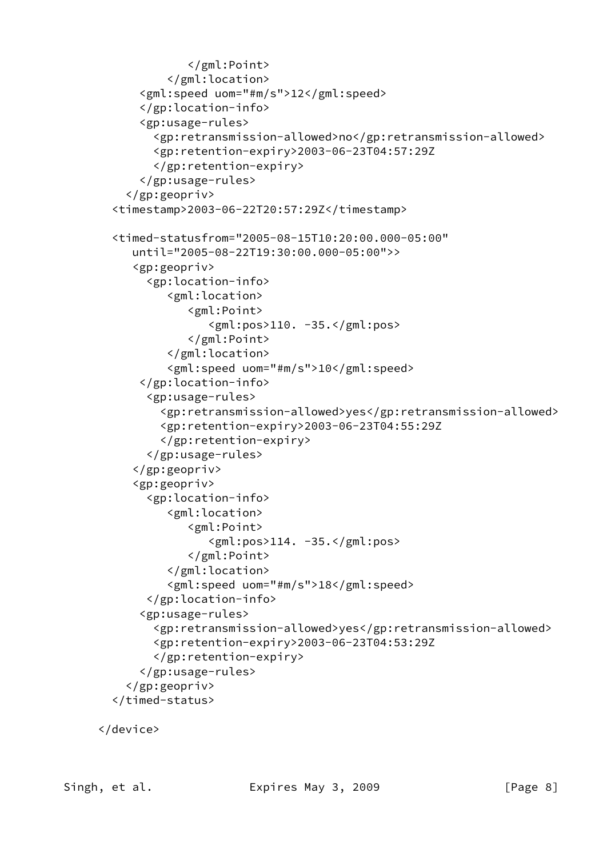```
 </gml:Point>
         </gml:location>
     <gml:speed uom="#m/s">12</gml:speed>
     </gp:location-info>
     <gp:usage-rules>
       <gp:retransmission-allowed>no</gp:retransmission-allowed>
       <gp:retention-expiry>2003-06-23T04:57:29Z
       </gp:retention-expiry>
     </gp:usage-rules>
   </gp:geopriv>
 <timestamp>2003-06-22T20:57:29Z</timestamp>
 <timed-statusfrom="2005-08-15T10:20:00.000-05:00"
    until="2005-08-22T19:30:00.000-05:00">>
    <gp:geopriv>
      <gp:location-info>
         <gml:location>
            <gml:Point>
                <gml:pos>110. -35.</gml:pos>
            </gml:Point>
         </gml:location>
         <gml:speed uom="#m/s">10</gml:speed>
     </gp:location-info>
      <gp:usage-rules>
        <gp:retransmission-allowed>yes</gp:retransmission-allowed>
        <gp:retention-expiry>2003-06-23T04:55:29Z
        </gp:retention-expiry>
      </gp:usage-rules>
    </gp:geopriv>
    <gp:geopriv>
      <gp:location-info>
         <gml:location>
            <gml:Point>
                <gml:pos>114. -35.</gml:pos>
            </gml:Point>
         </gml:location>
         <gml:speed uom="#m/s">18</gml:speed>
      </gp:location-info>
     <gp:usage-rules>
       <gp:retransmission-allowed>yes</gp:retransmission-allowed>
       <gp:retention-expiry>2003-06-23T04:53:29Z
       </gp:retention-expiry>
     </gp:usage-rules>
   </gp:geopriv>
 </timed-status>
```
</device>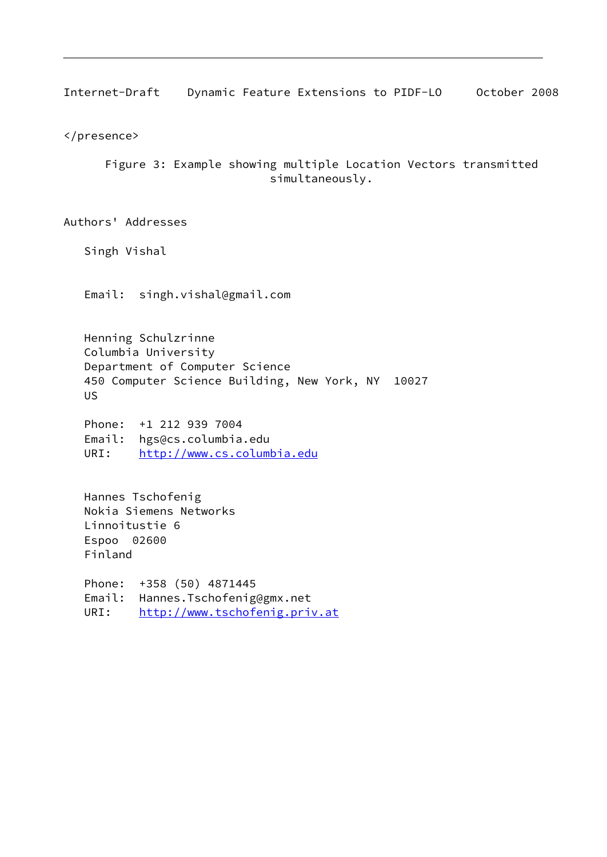<span id="page-9-0"></span>Internet-Draft Dynamic Feature Extensions to PIDF-LO October 2008

</presence>

 Figure 3: Example showing multiple Location Vectors transmitted simultaneously.

Authors' Addresses

Singh Vishal

Email: singh.vishal@gmail.com

 Henning Schulzrinne Columbia University Department of Computer Science 450 Computer Science Building, New York, NY 10027 US

 Phone: +1 212 939 7004 Email: hgs@cs.columbia.edu URI: <http://www.cs.columbia.edu>

 Hannes Tschofenig Nokia Siemens Networks Linnoitustie 6 Espoo 02600 Finland

 Phone: +358 (50) 4871445 Email: Hannes.Tschofenig@gmx.net URI: <http://www.tschofenig.priv.at>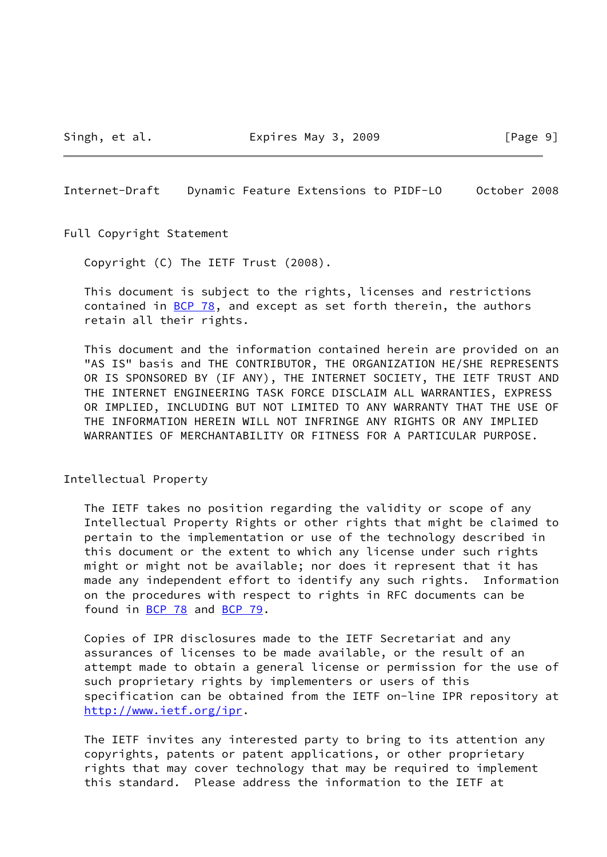Singh, et al. **Expires May 3, 2009** [Page 9]

#### <span id="page-10-0"></span>Internet-Draft Dynamic Feature Extensions to PIDF-LO October 2008

Full Copyright Statement

Copyright (C) The IETF Trust (2008).

 This document is subject to the rights, licenses and restrictions contained in  $BCP$  78, and except as set forth therein, the authors retain all their rights.

 This document and the information contained herein are provided on an "AS IS" basis and THE CONTRIBUTOR, THE ORGANIZATION HE/SHE REPRESENTS OR IS SPONSORED BY (IF ANY), THE INTERNET SOCIETY, THE IETF TRUST AND THE INTERNET ENGINEERING TASK FORCE DISCLAIM ALL WARRANTIES, EXPRESS OR IMPLIED, INCLUDING BUT NOT LIMITED TO ANY WARRANTY THAT THE USE OF THE INFORMATION HEREIN WILL NOT INFRINGE ANY RIGHTS OR ANY IMPLIED WARRANTIES OF MERCHANTABILITY OR FITNESS FOR A PARTICULAR PURPOSE.

#### Intellectual Property

 The IETF takes no position regarding the validity or scope of any Intellectual Property Rights or other rights that might be claimed to pertain to the implementation or use of the technology described in this document or the extent to which any license under such rights might or might not be available; nor does it represent that it has made any independent effort to identify any such rights. Information on the procedures with respect to rights in RFC documents can be found in [BCP 78](https://datatracker.ietf.org/doc/pdf/bcp78) and [BCP 79](https://datatracker.ietf.org/doc/pdf/bcp79).

 Copies of IPR disclosures made to the IETF Secretariat and any assurances of licenses to be made available, or the result of an attempt made to obtain a general license or permission for the use of such proprietary rights by implementers or users of this specification can be obtained from the IETF on-line IPR repository at <http://www.ietf.org/ipr>.

 The IETF invites any interested party to bring to its attention any copyrights, patents or patent applications, or other proprietary rights that may cover technology that may be required to implement this standard. Please address the information to the IETF at